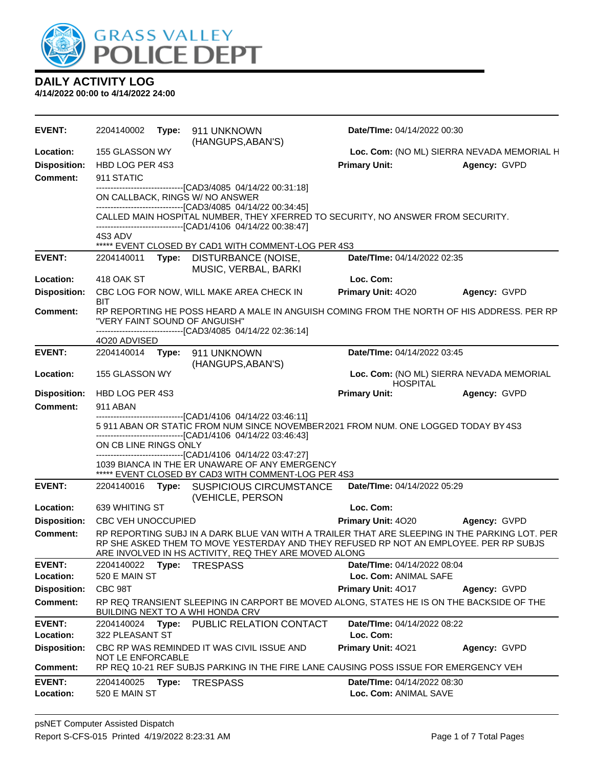

| EVENT:                     | 2204140002                                                                                                                                                                                                         |       | Type: 911 UNKNOWN<br>(HANGUPS, ABAN'S)                                                                                                                                                                                                          | Date/TIme: 04/14/2022 00:30              |                                            |  |
|----------------------------|--------------------------------------------------------------------------------------------------------------------------------------------------------------------------------------------------------------------|-------|-------------------------------------------------------------------------------------------------------------------------------------------------------------------------------------------------------------------------------------------------|------------------------------------------|--------------------------------------------|--|
| Location:                  | 155 GLASSON WY                                                                                                                                                                                                     |       |                                                                                                                                                                                                                                                 |                                          | Loc. Com: (NO ML) SIERRA NEVADA MEMORIAL H |  |
| <b>Disposition:</b>        | HBD LOG PER 4S3                                                                                                                                                                                                    |       |                                                                                                                                                                                                                                                 | <b>Primary Unit:</b>                     | Agency: GVPD                               |  |
| <b>Comment:</b>            | 911 STATIC                                                                                                                                                                                                         |       |                                                                                                                                                                                                                                                 |                                          |                                            |  |
|                            |                                                                                                                                                                                                                    |       | -------------------------------[CAD3/4085 04/14/22 00:31:18]<br>ON CALLBACK, RINGS W/ NO ANSWER<br>-------------------------------[CAD3/4085 04/14/22 00:34:45]                                                                                 |                                          |                                            |  |
|                            |                                                                                                                                                                                                                    |       | CALLED MAIN HOSPITAL NUMBER, THEY XFERRED TO SECURITY, NO ANSWER FROM SECURITY.<br>-------------------------------[CAD1/4106 04/14/22 00:38:47]                                                                                                 |                                          |                                            |  |
|                            | 4S3 ADV                                                                                                                                                                                                            |       | ***** EVENT CLOSED BY CAD1 WITH COMMENT-LOG PER 4S3                                                                                                                                                                                             |                                          |                                            |  |
| <b>EVENT:</b>              | 2204140011                                                                                                                                                                                                         |       | Type: DISTURBANCE (NOISE,<br>MUSIC, VERBAL, BARKI                                                                                                                                                                                               | Date/TIme: 04/14/2022 02:35              |                                            |  |
| Location:                  | 418 OAK ST                                                                                                                                                                                                         |       |                                                                                                                                                                                                                                                 | Loc. Com:                                |                                            |  |
| <b>Disposition:</b>        | BIT                                                                                                                                                                                                                |       | CBC LOG FOR NOW, WILL MAKE AREA CHECK IN                                                                                                                                                                                                        | Primary Unit: 4020                       | Agency: GVPD                               |  |
| Comment:                   |                                                                                                                                                                                                                    |       | RP REPORTING HE POSS HEARD A MALE IN ANGUISH COMING FROM THE NORTH OF HIS ADDRESS. PER RP<br>"VERY FAINT SOUND OF ANGUISH"<br>-------------------------------[CAD3/4085 04/14/22 02:36:14]                                                      |                                          |                                            |  |
|                            | 4O20 ADVISED                                                                                                                                                                                                       |       |                                                                                                                                                                                                                                                 |                                          |                                            |  |
| <b>EVENT:</b>              | 2204140014                                                                                                                                                                                                         | Type: | 911 UNKNOWN                                                                                                                                                                                                                                     | Date/TIme: 04/14/2022 03:45              |                                            |  |
| Location:                  | 155 GLASSON WY                                                                                                                                                                                                     |       | (HANGUPS, ABAN'S)                                                                                                                                                                                                                               | <b>HOSPITAL</b>                          | Loc. Com: (NO ML) SIERRA NEVADA MEMORIAL   |  |
| <b>Disposition:</b>        | HBD LOG PER 4S3                                                                                                                                                                                                    |       |                                                                                                                                                                                                                                                 | <b>Primary Unit:</b>                     | Agency: GVPD                               |  |
| <b>Comment:</b>            | 911 ABAN                                                                                                                                                                                                           |       |                                                                                                                                                                                                                                                 |                                          |                                            |  |
|                            | ------------------------------[CAD1/4106 04/14/22 03:46:11]<br>5 911 ABAN OR STATIC FROM NUM SINCE NOVEMBER 2021 FROM NUM. ONE LOGGED TODAY BY 4S3<br>-------------------------------[CAD1/4106 04/14/22 03:46:43] |       |                                                                                                                                                                                                                                                 |                                          |                                            |  |
|                            | ON CB LINE RINGS ONLY                                                                                                                                                                                              |       |                                                                                                                                                                                                                                                 |                                          |                                            |  |
|                            |                                                                                                                                                                                                                    |       | -------------------------------[CAD1/4106 04/14/22 03:47:27]<br>1039 BIANCA IN THE ER UNAWARE OF ANY EMERGENCY<br>***** EVENT CLOSED BY CAD3 WITH COMMENT-LOG PER 4S3                                                                           |                                          |                                            |  |
| <b>EVENT:</b>              | 2204140016 Type:                                                                                                                                                                                                   |       | <b>SUSPICIOUS CIRCUMSTANCE</b><br>(VEHICLE, PERSON                                                                                                                                                                                              | Date/TIme: 04/14/2022 05:29              |                                            |  |
| Location:                  | 639 WHITING ST                                                                                                                                                                                                     |       |                                                                                                                                                                                                                                                 | Loc. Com:                                |                                            |  |
| <b>Disposition:</b>        | <b>CBC VEH UNOCCUPIED</b>                                                                                                                                                                                          |       |                                                                                                                                                                                                                                                 | Primary Unit: 4020                       | Agency: GVPD                               |  |
| <b>Comment:</b>            |                                                                                                                                                                                                                    |       | RP REPORTING SUBJ IN A DARK BLUE VAN WITH A TRAILER THAT ARE SLEEPING IN THE PARKING LOT. PER<br>RP SHE ASKED THEM TO MOVE YESTERDAY AND THEY REFUSED RP NOT AN EMPLOYEE. PER RP SUBJS<br>ARE INVOLVED IN HS ACTIVITY, REQ THEY ARE MOVED ALONG |                                          |                                            |  |
| <b>EVENT:</b>              |                                                                                                                                                                                                                    |       | 2204140022 Type: TRESPASS                                                                                                                                                                                                                       | Date/TIme: 04/14/2022 08:04              |                                            |  |
| Location:                  | 520 E MAIN ST                                                                                                                                                                                                      |       |                                                                                                                                                                                                                                                 | Loc. Com: ANIMAL SAFE                    |                                            |  |
| <b>Disposition:</b>        | CBC 98T                                                                                                                                                                                                            |       |                                                                                                                                                                                                                                                 | <b>Primary Unit: 4017</b>                | Agency: GVPD                               |  |
| <b>Comment:</b>            |                                                                                                                                                                                                                    |       | RP REQ TRANSIENT SLEEPING IN CARPORT BE MOVED ALONG, STATES HE IS ON THE BACKSIDE OF THE<br><b>BUILDING NEXT TO A WHI HONDA CRV</b>                                                                                                             |                                          |                                            |  |
| <b>EVENT:</b><br>Location: | 2204140024<br>322 PLEASANT ST                                                                                                                                                                                      |       | Type: PUBLIC RELATION CONTACT                                                                                                                                                                                                                   | Date/TIme: 04/14/2022 08:22<br>Loc. Com: |                                            |  |
| <b>Disposition:</b>        |                                                                                                                                                                                                                    |       | CBC RP WAS REMINDED IT WAS CIVIL ISSUE AND                                                                                                                                                                                                      | Primary Unit: 4021                       | Agency: GVPD                               |  |
| <b>Comment:</b>            | NOT LE ENFORCABLE                                                                                                                                                                                                  |       | RP REQ 10-21 REF SUBJS PARKING IN THE FIRE LANE CAUSING POSS ISSUE FOR EMERGENCY VEH                                                                                                                                                            |                                          |                                            |  |
| <b>EVENT:</b>              | 2204140025                                                                                                                                                                                                         | Type: | <b>TRESPASS</b>                                                                                                                                                                                                                                 | Date/TIme: 04/14/2022 08:30              |                                            |  |
| Location:                  | 520 E MAIN ST                                                                                                                                                                                                      |       |                                                                                                                                                                                                                                                 | Loc. Com: ANIMAL SAVE                    |                                            |  |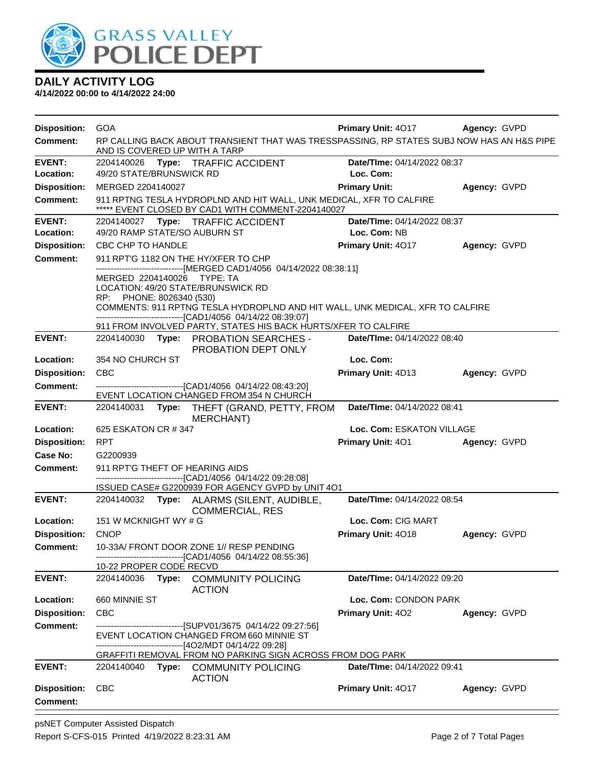

| <b>Disposition:</b> | <b>GOA</b>                                                                                                                 | <b>Primary Unit: 4017</b>   | Agency: GVPD |  |  |
|---------------------|----------------------------------------------------------------------------------------------------------------------------|-----------------------------|--------------|--|--|
| <b>Comment:</b>     | RP CALLING BACK ABOUT TRANSIENT THAT WAS TRESSPASSING, RP STATES SUBJ NOW HAS AN H&S PIPE<br>AND IS COVERED UP WITH A TARP |                             |              |  |  |
| <b>EVENT:</b>       | 2204140026 Type: TRAFFIC ACCIDENT                                                                                          | Date/TIme: 04/14/2022 08:37 |              |  |  |
| <b>Location:</b>    | 49/20 STATE/BRUNSWICK RD                                                                                                   | Loc. Com:                   |              |  |  |
| <b>Disposition:</b> | MERGED 2204140027                                                                                                          | <b>Primary Unit:</b>        | Agency: GVPD |  |  |
| <b>Comment:</b>     | 911 RPTNG TESLA HYDROPLND AND HIT WALL, UNK MEDICAL, XFR TO CALFIRE<br>***** EVENT CLOSED BY CAD1 WITH COMMENT-2204140027  |                             |              |  |  |
| <b>EVENT:</b>       | 2204140027 Type: TRAFFIC ACCIDENT                                                                                          | Date/TIme: 04/14/2022 08:37 |              |  |  |
| Location:           | 49/20 RAMP STATE/SO AUBURN ST                                                                                              | Loc. Com: NB                |              |  |  |
| <b>Disposition:</b> | CBC CHP TO HANDLE                                                                                                          | Primary Unit: 4017          | Agency: GVPD |  |  |
| <b>Comment:</b>     | 911 RPT'G 1182 ON THE HY/XFER TO CHP<br>------------------------------[MERGED CAD1/4056 04/14/2022 08:38:11]               |                             |              |  |  |
|                     | MERGED 2204140026<br>TYPE: TA                                                                                              |                             |              |  |  |
|                     | LOCATION: 49/20 STATE/BRUNSWICK RD                                                                                         |                             |              |  |  |
|                     | RP: PHONE: 8026340 (530)<br>COMMENTS: 911 RPTNG TESLA HYDROPLND AND HIT WALL, UNK MEDICAL, XFR TO CALFIRE                  |                             |              |  |  |
|                     | -------------------------------[CAD1/4056 04/14/22 08:39:07]                                                               |                             |              |  |  |
|                     | 911 FROM INVOLVED PARTY, STATES HIS BACK HURTS/XFER TO CALFIRE                                                             |                             |              |  |  |
| <b>EVENT:</b>       | 2204140030 Type: PROBATION SEARCHES -<br>PROBATION DEPT ONLY                                                               | Date/TIme: 04/14/2022 08:40 |              |  |  |
| <b>Location:</b>    | 354 NO CHURCH ST                                                                                                           | Loc. Com:                   |              |  |  |
| <b>Disposition:</b> | <b>CBC</b>                                                                                                                 | Primary Unit: 4D13          | Agency: GVPD |  |  |
| <b>Comment:</b>     | --------------------------------[CAD1/4056 04/14/22 08:43:20]                                                              |                             |              |  |  |
|                     | EVENT LOCATION CHANGED FROM 354 N CHURCH                                                                                   |                             |              |  |  |
| <b>EVENT:</b>       | Date/TIme: 04/14/2022 08:41<br>2204140031 Type: THEFT (GRAND, PETTY, FROM<br>MERCHANT)                                     |                             |              |  |  |
| Location:           | 625 ESKATON CR # 347                                                                                                       | Loc. Com: ESKATON VILLAGE   |              |  |  |
| <b>Disposition:</b> | <b>RPT</b>                                                                                                                 | <b>Primary Unit: 401</b>    | Agency: GVPD |  |  |
| Case No:            | G2200939                                                                                                                   |                             |              |  |  |
| <b>Comment:</b>     | 911 RPT'G THEFT OF HEARING AIDS                                                                                            |                             |              |  |  |
|                     | ------------------------------[CAD1/4056_04/14/22_09:28:08]<br>ISSUED CASE# G2200939 FOR AGENCY GVPD by UNIT 4O1           |                             |              |  |  |
| <b>EVENT:</b>       | 2204140032 Type: ALARMS (SILENT, AUDIBLE,<br><b>COMMERCIAL, RES</b>                                                        | Date/TIme: 04/14/2022 08:54 |              |  |  |
| Location:           | 151 W MCKNIGHT WY # G                                                                                                      | Loc. Com: CIG MART          |              |  |  |
| <b>Disposition:</b> | <b>CNOP</b>                                                                                                                | Primary Unit: 4018          | Agency: GVPD |  |  |
| Comment:            | 10-33A/ FRONT DOOR ZONE 1// RESP PENDING                                                                                   |                             |              |  |  |
|                     | ----------------------------[CAD1/4056_04/14/22_08:55:36]<br>10-22 PROPER CODE RECVD                                       |                             |              |  |  |
| <b>EVENT:</b>       | Type: COMMUNITY POLICING<br>2204140036<br><b>ACTION</b>                                                                    | Date/TIme: 04/14/2022 09:20 |              |  |  |
| Location:           | 660 MINNIE ST                                                                                                              | Loc. Com: CONDON PARK       |              |  |  |
| <b>Disposition:</b> | <b>CBC</b>                                                                                                                 | <b>Primary Unit: 402</b>    | Agency: GVPD |  |  |
| Comment:            | ------------------------------[SUPV01/3675_04/14/22_09:27:56]                                                              |                             |              |  |  |
|                     | EVENT LOCATION CHANGED FROM 660 MINNIE ST                                                                                  |                             |              |  |  |
|                     | -------------------------------[4O2/MDT 04/14/22 09:28]<br>GRAFFITI REMOVAL FROM NO PARKING SIGN ACROSS FROM DOG PARK      |                             |              |  |  |
| <b>EVENT:</b>       | 2204140040<br>Type: COMMUNITY POLICING                                                                                     | Date/TIme: 04/14/2022 09:41 |              |  |  |
|                     | <b>ACTION</b>                                                                                                              |                             |              |  |  |
| <b>Disposition:</b> | <b>CBC</b>                                                                                                                 | Primary Unit: 4017          | Agency: GVPD |  |  |
| <b>Comment:</b>     |                                                                                                                            |                             |              |  |  |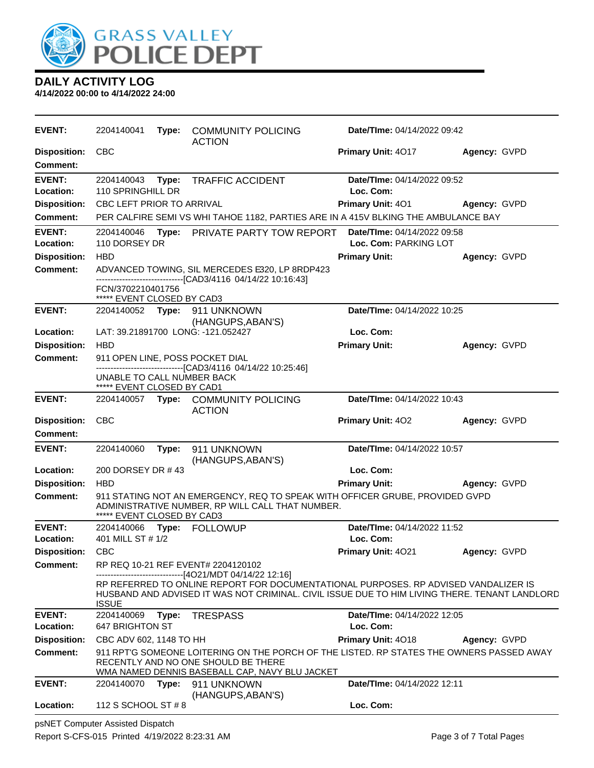

**4/14/2022 00:00 to 4/14/2022 24:00**

| <b>EVENT:</b>                          | 2204140041                                      |       | Type: COMMUNITY POLICING<br><b>ACTION</b>                                                                                                                                            | Date/TIme: 04/14/2022 09:42                                 |              |  |
|----------------------------------------|-------------------------------------------------|-------|--------------------------------------------------------------------------------------------------------------------------------------------------------------------------------------|-------------------------------------------------------------|--------------|--|
| <b>Disposition:</b><br><b>Comment:</b> | <b>CBC</b>                                      |       |                                                                                                                                                                                      | Primary Unit: 4017                                          | Agency: GVPD |  |
| <b>EVENT:</b><br>Location:             | 2204140043<br>110 SPRINGHILL DR                 | Type: | <b>TRAFFIC ACCIDENT</b>                                                                                                                                                              | Date/TIme: 04/14/2022 09:52<br>Loc. Com:                    |              |  |
| <b>Disposition:</b>                    | CBC LEFT PRIOR TO ARRIVAL                       |       |                                                                                                                                                                                      | <b>Primary Unit: 401</b>                                    | Agency: GVPD |  |
| <b>Comment:</b>                        |                                                 |       | PER CALFIRE SEMI VS WHI TAHOE 1182, PARTIES ARE IN A 415V BLKING THE AMBULANCE BAY                                                                                                   |                                                             |              |  |
| <b>EVENT:</b><br>Location:             | 2204140046<br>110 DORSEY DR                     |       | Type: PRIVATE PARTY TOW REPORT                                                                                                                                                       | <b>Date/Time: 04/14/2022 09:58</b><br>Loc. Com: PARKING LOT |              |  |
| <b>Disposition:</b>                    | <b>HBD</b>                                      |       |                                                                                                                                                                                      | <b>Primary Unit:</b>                                        | Agency: GVPD |  |
| <b>Comment:</b>                        |                                                 |       | ADVANCED TOWING, SIL MERCEDES E320, LP 8RDP423<br>--------------------------------[CAD3/4116 04/14/22 10:16:43]                                                                      |                                                             |              |  |
|                                        | FCN/3702210401756<br>***** EVENT CLOSED BY CAD3 |       |                                                                                                                                                                                      |                                                             |              |  |
| <b>EVENT:</b>                          |                                                 |       | 2204140052 Type: 911 UNKNOWN<br>(HANGUPS, ABAN'S)                                                                                                                                    | Date/TIme: 04/14/2022 10:25                                 |              |  |
| Location:                              |                                                 |       | LAT: 39.21891700 LONG: -121.052427                                                                                                                                                   | Loc. Com:                                                   |              |  |
| <b>Disposition:</b>                    | <b>HBD</b>                                      |       |                                                                                                                                                                                      | <b>Primary Unit:</b>                                        | Agency: GVPD |  |
| <b>Comment:</b>                        | UNABLE TO CALL NUMBER BACK                      |       | 911 OPEN LINE, POSS POCKET DIAL<br>-----------------------[CAD3/4116_04/14/22_10:25:46]                                                                                              |                                                             |              |  |
|                                        | ***** EVENT CLOSED BY CAD1                      |       |                                                                                                                                                                                      |                                                             |              |  |
| <b>EVENT:</b>                          |                                                 |       | 2204140057 Type: COMMUNITY POLICING<br><b>ACTION</b>                                                                                                                                 | Date/TIme: 04/14/2022 10:43                                 |              |  |
| <b>Disposition:</b>                    | <b>CBC</b>                                      |       |                                                                                                                                                                                      | Primary Unit: 402                                           | Agency: GVPD |  |
| <b>Comment:</b>                        |                                                 |       |                                                                                                                                                                                      |                                                             |              |  |
| <b>EVENT:</b>                          | 2204140060                                      | Type: | 911 UNKNOWN<br>(HANGUPS, ABAN'S)                                                                                                                                                     | Date/TIme: 04/14/2022 10:57                                 |              |  |
| Location:                              | 200 DORSEY DR #43                               |       |                                                                                                                                                                                      | Loc. Com:                                                   |              |  |
| <b>Disposition:</b>                    | <b>HBD</b>                                      |       |                                                                                                                                                                                      | <b>Primary Unit:</b>                                        | Agency: GVPD |  |
| <b>Comment:</b>                        | ***** EVENT CLOSED BY CAD3                      |       | 911 STATING NOT AN EMERGENCY, REQ TO SPEAK WITH OFFICER GRUBE, PROVIDED GVPD<br>ADMINISTRATIVE NUMBER, RP WILL CALL THAT NUMBER.                                                     |                                                             |              |  |
| <b>EVENT:</b>                          | 2204140066                                      | Type: | FOLLOWUP                                                                                                                                                                             | Date/TIme: 04/14/2022 11:52                                 |              |  |
| Location:                              | 401 MILL ST # 1/2                               |       |                                                                                                                                                                                      | Loc. Com:                                                   |              |  |
| <b>Disposition:</b>                    | CBC                                             |       |                                                                                                                                                                                      | Primary Unit: 4021                                          | Agency: GVPD |  |
| Comment:                               |                                                 |       | RP REQ 10-21 REF EVENT# 2204120102<br>------------------------------[4O21/MDT 04/14/22 12:16]                                                                                        |                                                             |              |  |
|                                        | <b>ISSUE</b>                                    |       | RP REFERRED TO ONLINE REPORT FOR DOCUMENTATIONAL PURPOSES. RP ADVISED VANDALIZER IS<br>HUSBAND AND ADVISED IT WAS NOT CRIMINAL. CIVIL ISSUE DUE TO HIM LIVING THERE. TENANT LANDLORD |                                                             |              |  |
| <b>EVENT:</b><br>Location:             | 2204140069<br><b>647 BRIGHTON ST</b>            | Type: | <b>TRESPASS</b>                                                                                                                                                                      | Date/TIme: 04/14/2022 12:05<br>Loc. Com:                    |              |  |
| <b>Disposition:</b>                    | CBC ADV 602, 1148 TO HH                         |       |                                                                                                                                                                                      | Primary Unit: 4018                                          | Agency: GVPD |  |
| <b>Comment:</b>                        |                                                 |       | 911 RPT'G SOMEONE LOITERING ON THE PORCH OF THE LISTED. RP STATES THE OWNERS PASSED AWAY<br>RECENTLY AND NO ONE SHOULD BE THERE<br>WMA NAMED DENNIS BASEBALL CAP, NAVY BLU JACKET    |                                                             |              |  |
| <b>EVENT:</b>                          | 2204140070                                      | Type: | 911 UNKNOWN<br>(HANGUPS, ABAN'S)                                                                                                                                                     | Date/TIme: 04/14/2022 12:11                                 |              |  |
| Location:                              | 112 S SCHOOL ST # 8                             |       |                                                                                                                                                                                      | Loc. Com:                                                   |              |  |

psNET Computer Assisted Dispatch Report S-CFS-015 Printed 4/19/2022 8:23:31 AM Page 3 of 7 Total Pages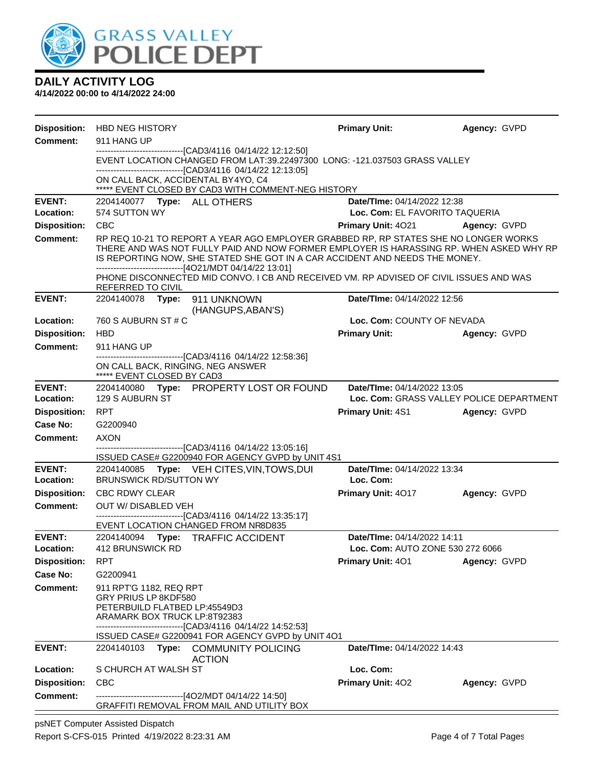

**4/14/2022 00:00 to 4/14/2022 24:00**

| <b>Disposition:</b>                    | <b>HBD NEG HISTORY</b>                                                                                                                                                                                                                                         | <b>Primary Unit:</b>                     | Agency: GVPD |  |  |  |  |  |
|----------------------------------------|----------------------------------------------------------------------------------------------------------------------------------------------------------------------------------------------------------------------------------------------------------------|------------------------------------------|--------------|--|--|--|--|--|
| <b>Comment:</b>                        | 911 HANG UP                                                                                                                                                                                                                                                    |                                          |              |  |  |  |  |  |
|                                        | ---------------------------------[CAD3/4116 04/14/22 12:12:50]<br>EVENT LOCATION CHANGED FROM LAT:39.22497300 LONG: -121.037503 GRASS VALLEY<br>-------------------------------[CAD3/4116 04/14/22 12:13:05]                                                   |                                          |              |  |  |  |  |  |
|                                        | ON CALL BACK, ACCIDENTAL BY4YO, C4<br>***** EVENT CLOSED BY CAD3 WITH COMMENT-NEG HISTORY                                                                                                                                                                      |                                          |              |  |  |  |  |  |
| <b>EVENT:</b>                          | 2204140077    Type: ALL OTHERS                                                                                                                                                                                                                                 | Date/TIme: 04/14/2022 12:38              |              |  |  |  |  |  |
| Location:                              | 574 SUTTON WY                                                                                                                                                                                                                                                  | Loc. Com: EL FAVORITO TAQUERIA           |              |  |  |  |  |  |
| <b>Disposition:</b>                    | <b>CBC</b>                                                                                                                                                                                                                                                     | <b>Primary Unit: 4021</b>                | Agency: GVPD |  |  |  |  |  |
| <b>Comment:</b>                        | RP REQ 10-21 TO REPORT A YEAR AGO EMPLOYER GRABBED RP, RP STATES SHE NO LONGER WORKS<br>THERE AND WAS NOT FULLY PAID AND NOW FORMER EMPLOYER IS HARASSING RP. WHEN ASKED WHY RP<br>IS REPORTING NOW, SHE STATED SHE GOT IN A CAR ACCIDENT AND NEEDS THE MONEY. |                                          |              |  |  |  |  |  |
|                                        | -------------------------------[4O21/MDT 04/14/22 13:01]<br>PHONE DISCONNECTED MID CONVO. I CB AND RECEIVED VM. RP ADVISED OF CIVIL ISSUES AND WAS<br>REFERRED TO CIVIL                                                                                        |                                          |              |  |  |  |  |  |
| <b>EVENT:</b>                          | 2204140078    Type: 911    UNKNOWN                                                                                                                                                                                                                             | Date/TIme: 04/14/2022 12:56              |              |  |  |  |  |  |
|                                        | (HANGUPS, ABAN'S)                                                                                                                                                                                                                                              |                                          |              |  |  |  |  |  |
| Location:                              | 760 S AUBURN ST # C<br><b>HBD</b>                                                                                                                                                                                                                              | Loc. Com: COUNTY OF NEVADA               |              |  |  |  |  |  |
| <b>Disposition:</b><br><b>Comment:</b> | 911 HANG UP                                                                                                                                                                                                                                                    | <b>Primary Unit:</b>                     | Agency: GVPD |  |  |  |  |  |
|                                        | ------------------------[CAD3/4116 04/14/22 12:58:36]                                                                                                                                                                                                          |                                          |              |  |  |  |  |  |
|                                        | ON CALL BACK, RINGING, NEG ANSWER<br>***** EVENT CLOSED BY CAD3                                                                                                                                                                                                |                                          |              |  |  |  |  |  |
| <b>EVENT:</b>                          | 2204140080 Type: PROPERTY LOST OR FOUND                                                                                                                                                                                                                        | Date/TIme: 04/14/2022 13:05              |              |  |  |  |  |  |
| Location:                              | 129 S AUBURN ST                                                                                                                                                                                                                                                | Loc. Com: GRASS VALLEY POLICE DEPARTMENT |              |  |  |  |  |  |
| <b>Disposition:</b>                    | <b>RPT</b>                                                                                                                                                                                                                                                     | <b>Primary Unit: 4S1</b>                 | Agency: GVPD |  |  |  |  |  |
| Case No:                               | G2200940                                                                                                                                                                                                                                                       |                                          |              |  |  |  |  |  |
| <b>Comment:</b>                        | <b>AXON</b><br>-------------------------------[CAD3/4116 04/14/22 13:05:16]                                                                                                                                                                                    |                                          |              |  |  |  |  |  |
|                                        | ISSUED CASE# G2200940 FOR AGENCY GVPD by UNIT 4S1                                                                                                                                                                                                              |                                          |              |  |  |  |  |  |
| <b>EVENT:</b>                          | 2204140085 Type: VEH CITES, VIN, TOWS, DUI                                                                                                                                                                                                                     | Date/TIme: 04/14/2022 13:34              |              |  |  |  |  |  |
| Location:                              | <b>BRUNSWICK RD/SUTTON WY</b>                                                                                                                                                                                                                                  | Loc. Com:                                |              |  |  |  |  |  |
| <b>Disposition:</b>                    | <b>CBC RDWY CLEAR</b>                                                                                                                                                                                                                                          | <b>Primary Unit: 4017</b>                | Agency: GVPD |  |  |  |  |  |
| <b>Comment:</b>                        | OUT W/ DISABLED VEH<br>------------------------------[CAD3/4116 04/14/22 13:35:17]                                                                                                                                                                             |                                          |              |  |  |  |  |  |
|                                        | EVENT LOCATION CHANGED FROM NR8D835                                                                                                                                                                                                                            |                                          |              |  |  |  |  |  |
| <b>EVENT:</b>                          | Date/TIme: 04/14/2022 14:11<br>2204140094 Type: TRAFFIC ACCIDENT                                                                                                                                                                                               |                                          |              |  |  |  |  |  |
| Location:                              | 412 BRUNSWICK RD<br>Loc. Com: AUTO ZONE 530 272 6066                                                                                                                                                                                                           |                                          |              |  |  |  |  |  |
| <b>Disposition:</b>                    | <b>RPT</b>                                                                                                                                                                                                                                                     | Primary Unit: 401                        | Agency: GVPD |  |  |  |  |  |
| <b>Case No:</b>                        | G2200941                                                                                                                                                                                                                                                       |                                          |              |  |  |  |  |  |
| <b>Comment:</b>                        | 911 RPT'G 1182, REQ RPT<br>GRY PRIUS LP 8KDF580<br>PETERBUILD FLATBED LP:45549D3<br>ARAMARK BOX TRUCK LP:8T92383<br>------------------------------[CAD3/4116 04/14/22 14:52:53]                                                                                |                                          |              |  |  |  |  |  |
| <b>EVENT:</b>                          | ISSUED CASE# G2200941 FOR AGENCY GVPD by UNIT 4O1                                                                                                                                                                                                              |                                          |              |  |  |  |  |  |
|                                        | Type: COMMUNITY POLICING<br>2204140103<br><b>ACTION</b>                                                                                                                                                                                                        | <b>Date/Time: 04/14/2022 14:43</b>       |              |  |  |  |  |  |
| Location:                              | S CHURCH AT WALSH ST                                                                                                                                                                                                                                           | Loc. Com:                                |              |  |  |  |  |  |
| <b>Disposition:</b>                    | <b>CBC</b>                                                                                                                                                                                                                                                     | Primary Unit: 402                        | Agency: GVPD |  |  |  |  |  |
| <b>Comment:</b>                        | -------------------------------[4O2/MDT 04/14/22 14:50]                                                                                                                                                                                                        |                                          |              |  |  |  |  |  |
|                                        | GRAFFITI REMOVAL FROM MAIL AND UTILITY BOX                                                                                                                                                                                                                     |                                          |              |  |  |  |  |  |

psNET Computer Assisted Dispatch Report S-CFS-015 Printed 4/19/2022 8:23:31 AM Page 4 of 7 Total Pages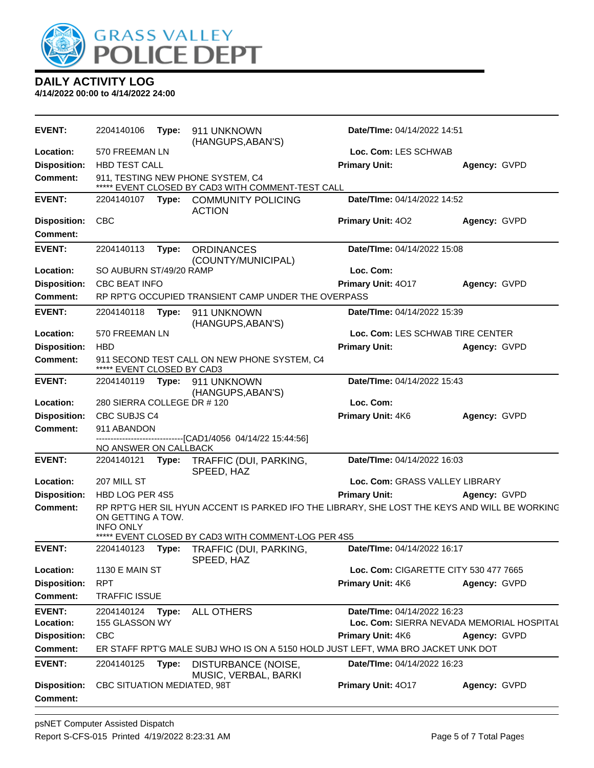

| <b>EVENT:</b>                          | 2204140106                              | Type: | 911 UNKNOWN<br>(HANGUPS, ABAN'S)                                                                                                               | Date/TIme: 04/14/2022 14:51           |                                           |  |
|----------------------------------------|-----------------------------------------|-------|------------------------------------------------------------------------------------------------------------------------------------------------|---------------------------------------|-------------------------------------------|--|
| Location:                              | 570 FREEMAN LN                          |       |                                                                                                                                                | Loc. Com: LES SCHWAB                  |                                           |  |
| <b>Disposition:</b>                    | HBD TEST CALL                           |       |                                                                                                                                                | <b>Primary Unit:</b>                  | Agency: GVPD                              |  |
| Comment:                               |                                         |       | 911, TESTING NEW PHONE SYSTEM, C4<br>***** EVENT CLOSED BY CAD3 WITH COMMENT-TEST CALL                                                         |                                       |                                           |  |
| <b>EVENT:</b>                          | 2204140107                              |       | Type: COMMUNITY POLICING<br><b>ACTION</b>                                                                                                      | Date/TIme: 04/14/2022 14:52           |                                           |  |
| <b>Disposition:</b>                    | <b>CBC</b>                              |       |                                                                                                                                                | Primary Unit: 402                     | Agency: GVPD                              |  |
| Comment:                               |                                         |       |                                                                                                                                                |                                       |                                           |  |
| <b>EVENT:</b>                          | 2204140113                              | Type: | <b>ORDINANCES</b><br>(COUNTY/MUNICIPAL)                                                                                                        | Date/TIme: 04/14/2022 15:08           |                                           |  |
| Location:                              | SO AUBURN ST/49/20 RAMP                 |       |                                                                                                                                                | Loc. Com:                             |                                           |  |
| <b>Disposition:</b>                    | <b>CBC BEAT INFO</b>                    |       |                                                                                                                                                | Primary Unit: 4017                    | Agency: GVPD                              |  |
| <b>Comment:</b>                        |                                         |       | RP RPT'G OCCUPIED TRANSIENT CAMP UNDER THE OVERPASS                                                                                            |                                       |                                           |  |
| <b>EVENT:</b>                          | 2204140118                              | Type: | 911 UNKNOWN<br>(HANGUPS, ABAN'S)                                                                                                               | Date/TIme: 04/14/2022 15:39           |                                           |  |
| Location:                              | 570 FREEMAN LN                          |       |                                                                                                                                                | Loc. Com: LES SCHWAB TIRE CENTER      |                                           |  |
| <b>Disposition:</b>                    | <b>HBD</b>                              |       |                                                                                                                                                | <b>Primary Unit:</b>                  | Agency: GVPD                              |  |
| <b>Comment:</b>                        | ***** EVENT CLOSED BY CAD3              |       | 911 SECOND TEST CALL ON NEW PHONE SYSTEM, C4                                                                                                   |                                       |                                           |  |
| <b>EVENT:</b>                          | 2204140119                              | Type: | 911 UNKNOWN<br>(HANGUPS, ABAN'S)                                                                                                               | Date/TIme: 04/14/2022 15:43           |                                           |  |
| Location:                              | 280 SIERRA COLLEGE DR #120<br>Loc. Com: |       |                                                                                                                                                |                                       |                                           |  |
| <b>Disposition:</b>                    | CBC SUBJS C4                            |       |                                                                                                                                                | Primary Unit: 4K6                     | Agency: GVPD                              |  |
| <b>Comment:</b>                        | 911 ABANDON                             |       |                                                                                                                                                |                                       |                                           |  |
|                                        | NO ANSWER ON CALLBACK                   |       | --------------------------[CAD1/4056_04/14/22_15:44:56]                                                                                        |                                       |                                           |  |
| <b>EVENT:</b>                          | 2204140121                              | Type: | TRAFFIC (DUI, PARKING,<br>SPEED, HAZ                                                                                                           | Date/TIme: 04/14/2022 16:03           |                                           |  |
| Location:                              | 207 MILL ST                             |       |                                                                                                                                                | Loc. Com: GRASS VALLEY LIBRARY        |                                           |  |
| <b>Disposition:</b>                    | HBD LOG PER 4S5                         |       |                                                                                                                                                | <b>Primary Unit:</b>                  | Agency: GVPD                              |  |
| <b>Comment:</b>                        | ON GETTING A TOW.<br><b>INFO ONLY</b>   |       | RP RPT'G HER SIL HYUN ACCENT IS PARKED IFO THE LIBRARY, SHE LOST THE KEYS AND WILL BE WORKING<br>EVENT CLOSED BY CAD3 WITH COMMENT-LOG PER 4S5 |                                       |                                           |  |
| <b>EVENT:</b>                          | 2204140123                              | Type: | TRAFFIC (DUI, PARKING,                                                                                                                         | Date/TIme: 04/14/2022 16:17           |                                           |  |
| Location:                              | <b>1130 E MAIN ST</b>                   |       | SPEED, HAZ                                                                                                                                     | Loc. Com: CIGARETTE CITY 530 477 7665 |                                           |  |
| <b>Disposition:</b>                    | <b>RPT</b>                              |       |                                                                                                                                                |                                       |                                           |  |
| <b>Comment:</b>                        | <b>TRAFFIC ISSUE</b>                    |       |                                                                                                                                                | Primary Unit: 4K6                     | Agency: GVPD                              |  |
|                                        |                                         |       |                                                                                                                                                |                                       |                                           |  |
| <b>EVENT:</b><br>Location:             | 2204140124<br>155 GLASSON WY            | Type: | <b>ALL OTHERS</b>                                                                                                                              | Date/TIme: 04/14/2022 16:23           | Loc. Com: SIERRA NEVADA MEMORIAL HOSPITAL |  |
| <b>Disposition:</b>                    | <b>CBC</b>                              |       |                                                                                                                                                | <b>Primary Unit: 4K6</b>              | Agency: GVPD                              |  |
| <b>Comment:</b>                        |                                         |       | ER STAFF RPT'G MALE SUBJ WHO IS ON A 5150 HOLD JUST LEFT, WMA BRO JACKET UNK DOT                                                               |                                       |                                           |  |
|                                        |                                         |       |                                                                                                                                                |                                       |                                           |  |
| <b>EVENT:</b>                          | 2204140125                              | Type: | DISTURBANCE (NOISE,<br>MUSIC, VERBAL, BARKI                                                                                                    | Date/TIme: 04/14/2022 16:23           |                                           |  |
| <b>Disposition:</b><br><b>Comment:</b> | CBC SITUATION MEDIATED, 98T             |       |                                                                                                                                                | Primary Unit: 4017                    | Agency: GVPD                              |  |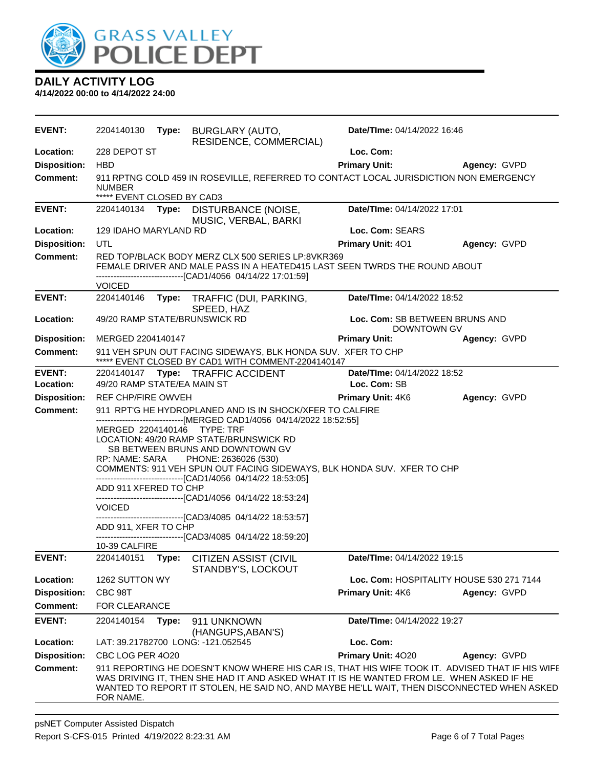

| EVENT:                                 | 2204140130                                                                                                                           |       | Type: BURGLARY (AUTO,<br>RESIDENCE, COMMERCIAL)                                                                                                                                                                                                                                                                                                                                                                                                                                                                                          | Date/TIme: 04/14/2022 16:46                   |                                                                                                 |
|----------------------------------------|--------------------------------------------------------------------------------------------------------------------------------------|-------|------------------------------------------------------------------------------------------------------------------------------------------------------------------------------------------------------------------------------------------------------------------------------------------------------------------------------------------------------------------------------------------------------------------------------------------------------------------------------------------------------------------------------------------|-----------------------------------------------|-------------------------------------------------------------------------------------------------|
| Location:                              | 228 DEPOT ST                                                                                                                         |       |                                                                                                                                                                                                                                                                                                                                                                                                                                                                                                                                          | Loc. Com:                                     |                                                                                                 |
| <b>Disposition:</b>                    | <b>HBD</b>                                                                                                                           |       |                                                                                                                                                                                                                                                                                                                                                                                                                                                                                                                                          | <b>Primary Unit:</b>                          | Agency: GVPD                                                                                    |
| <b>Comment:</b>                        | 911 RPTNG COLD 459 IN ROSEVILLE, REFERRED TO CONTACT LOCAL JURISDICTION NON EMERGENCY<br><b>NUMBER</b><br>***** EVENT CLOSED BY CAD3 |       |                                                                                                                                                                                                                                                                                                                                                                                                                                                                                                                                          |                                               |                                                                                                 |
| <b>EVENT:</b>                          | 2204140134                                                                                                                           | Type: | DISTURBANCE (NOISE,<br>MUSIC, VERBAL, BARKI                                                                                                                                                                                                                                                                                                                                                                                                                                                                                              | Date/TIme: 04/14/2022 17:01                   |                                                                                                 |
| Location:                              | <b>129 IDAHO MARYLAND RD</b>                                                                                                         |       |                                                                                                                                                                                                                                                                                                                                                                                                                                                                                                                                          | Loc. Com: SEARS                               |                                                                                                 |
| <b>Disposition:</b>                    | UTL                                                                                                                                  |       |                                                                                                                                                                                                                                                                                                                                                                                                                                                                                                                                          | Primary Unit: 401                             | Agency: GVPD                                                                                    |
| <b>Comment:</b>                        |                                                                                                                                      |       | RED TOP/BLACK BODY MERZ CLX 500 SERIES LP:8VKR369<br>FEMALE DRIVER AND MALE PASS IN A HEATED415 LAST SEEN TWRDS THE ROUND ABOUT<br>-------------------------------[CAD1/4056 04/14/22 17:01:59]                                                                                                                                                                                                                                                                                                                                          |                                               |                                                                                                 |
|                                        | <b>VOICED</b>                                                                                                                        |       |                                                                                                                                                                                                                                                                                                                                                                                                                                                                                                                                          |                                               |                                                                                                 |
| <b>EVENT:</b>                          | 2204140146                                                                                                                           |       | Type: TRAFFIC (DUI, PARKING,                                                                                                                                                                                                                                                                                                                                                                                                                                                                                                             | Date/TIme: 04/14/2022 18:52                   |                                                                                                 |
| Location:                              |                                                                                                                                      |       | SPEED, HAZ<br>49/20 RAMP STATE/BRUNSWICK RD                                                                                                                                                                                                                                                                                                                                                                                                                                                                                              | Loc. Com: SB BETWEEN BRUNS AND<br>DOWNTOWN GV |                                                                                                 |
| <b>Disposition:</b>                    | MERGED 2204140147                                                                                                                    |       |                                                                                                                                                                                                                                                                                                                                                                                                                                                                                                                                          | <b>Primary Unit:</b>                          | Agency: GVPD                                                                                    |
| <b>Comment:</b>                        |                                                                                                                                      |       | 911 VEH SPUN OUT FACING SIDEWAYS, BLK HONDA SUV. XFER TO CHP<br>***** EVENT CLOSED BY CAD1 WITH COMMENT-2204140147                                                                                                                                                                                                                                                                                                                                                                                                                       |                                               |                                                                                                 |
| <b>EVENT:</b>                          |                                                                                                                                      |       | 2204140147 Type: TRAFFIC ACCIDENT                                                                                                                                                                                                                                                                                                                                                                                                                                                                                                        | Date/TIme: 04/14/2022 18:52                   |                                                                                                 |
| Location:                              | 49/20 RAMP STATE/EA MAIN ST                                                                                                          |       |                                                                                                                                                                                                                                                                                                                                                                                                                                                                                                                                          | Loc. Com: SB                                  |                                                                                                 |
| <b>Disposition:</b><br><b>Comment:</b> | REF CHP/FIRE OWVEH                                                                                                                   |       | 911 RPT'G HE HYDROPLANED AND IS IN SHOCK/XFER TO CALFIRE                                                                                                                                                                                                                                                                                                                                                                                                                                                                                 | <b>Primary Unit: 4K6</b>                      | Agency: GVPD                                                                                    |
|                                        | RP: NAME: SARA<br>ADD 911 XFERED TO CHP<br><b>VOICED</b><br>ADD 911, XFER TO CHP<br>10-39 CALFIRE                                    |       | -------------------------------[MERGED CAD1/4056 04/14/2022 18:52:55]<br>MERGED 2204140146 TYPE: TRF<br>LOCATION: 49/20 RAMP STATE/BRUNSWICK RD<br>SB BETWEEN BRUNS AND DOWNTOWN GV<br>PHONE: 2636026 (530)<br>COMMENTS: 911 VEH SPUN OUT FACING SIDEWAYS, BLK HONDA SUV. XFER TO CHP<br>-------------------------------[CAD1/4056 04/14/22 18:53:05]<br>-------------------------------[CAD1/4056 04/14/22 18:53:24]<br>-----------------[CAD3/4085 04/14/22 18:53:57]<br>--------------------------------[CAD3/4085 04/14/22 18:59:20] |                                               |                                                                                                 |
| <b>EVENT:</b>                          | 2204140151                                                                                                                           | Type: | CITIZEN ASSIST (CIVIL<br>STANDBY'S, LOCKOUT                                                                                                                                                                                                                                                                                                                                                                                                                                                                                              | Date/TIme: 04/14/2022 19:15                   |                                                                                                 |
| Location:                              | 1262 SUTTON WY                                                                                                                       |       |                                                                                                                                                                                                                                                                                                                                                                                                                                                                                                                                          |                                               | Loc. Com: HOSPITALITY HOUSE 530 271 7144                                                        |
| <b>Disposition:</b>                    | CBC 98T                                                                                                                              |       |                                                                                                                                                                                                                                                                                                                                                                                                                                                                                                                                          | Primary Unit: 4K6                             | Agency: GVPD                                                                                    |
| <b>Comment:</b>                        | <b>FOR CLEARANCE</b>                                                                                                                 |       |                                                                                                                                                                                                                                                                                                                                                                                                                                                                                                                                          |                                               |                                                                                                 |
| <b>EVENT:</b>                          | 2204140154                                                                                                                           | Type: | 911 UNKNOWN<br>(HANGUPS, ABAN'S)                                                                                                                                                                                                                                                                                                                                                                                                                                                                                                         | Date/TIme: 04/14/2022 19:27                   |                                                                                                 |
| Location:                              |                                                                                                                                      |       | LAT: 39.21782700 LONG: -121.052545                                                                                                                                                                                                                                                                                                                                                                                                                                                                                                       | Loc. Com:                                     |                                                                                                 |
| <b>Disposition:</b>                    | CBC LOG PER 4020                                                                                                                     |       |                                                                                                                                                                                                                                                                                                                                                                                                                                                                                                                                          | Primary Unit: 4020                            | Agency: GVPD                                                                                    |
| <b>Comment:</b>                        | FOR NAME.                                                                                                                            |       | WAS DRIVING IT, THEN SHE HAD IT AND ASKED WHAT IT IS HE WANTED FROM LE. WHEN ASKED IF HE<br>WANTED TO REPORT IT STOLEN, HE SAID NO, AND MAYBE HE'LL WAIT, THEN DISCONNECTED WHEN ASKED                                                                                                                                                                                                                                                                                                                                                   |                                               | 911 REPORTING HE DOESN'T KNOW WHERE HIS CAR IS, THAT HIS WIFE TOOK IT. ADVISED THAT IF HIS WIFE |